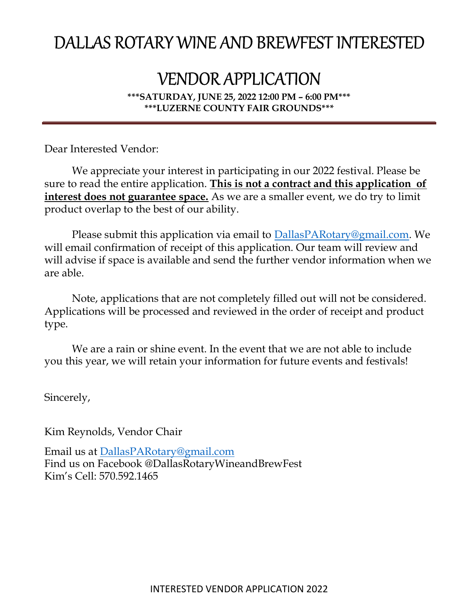## DALLAS ROTARY WINE AND BREWFEST INTERESTED

## VENDOR APPLICATION

\*\*\*SATURDAY, JUNE 25, 2022 12:00 PM – 6:00 PM\*\*\* \*\*\*LUZERNE COUNTY FAIR GROUNDS\*\*\*

Dear Interested Vendor:

We appreciate your interest in participating in our 2022 festival. Please be sure to read the entire application. This is not a contract and this application of interest does not guarantee space. As we are a smaller event, we do try to limit product overlap to the best of our ability.

Please submit this application via email to **DallasPARotary@gmail.com**. We will email confirmation of receipt of this application. Our team will review and will advise if space is available and send the further vendor information when we are able.

Note, applications that are not completely filled out will not be considered. Applications will be processed and reviewed in the order of receipt and product type.

We are a rain or shine event. In the event that we are not able to include you this year, we will retain your information for future events and festivals!

Sincerely,

Kim Reynolds, Vendor Chair

Email us at DallasPARotary@gmail.com Find us on Facebook @DallasRotaryWineandBrewFest Kim's Cell: 570.592.1465